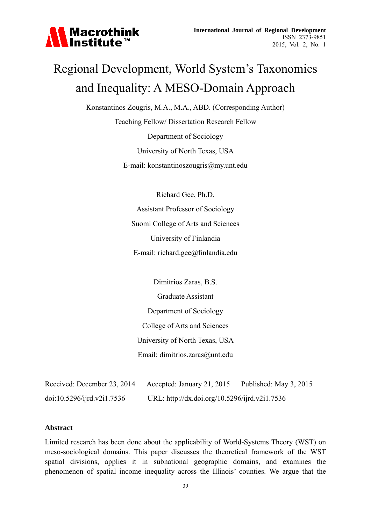

# Regional Development, World System's Taxonomies and Inequality: A MESO-Domain Approach

Konstantinos Zougris, M.A., M.A., ABD. (Corresponding Author)

Teaching Fellow/ Dissertation Research Fellow

Department of Sociology University of North Texas, USA E-mail: konstantinoszougris@my.unt.edu

Richard Gee, Ph.D. Assistant Professor of Sociology Suomi College of Arts and Sciences University of Finlandia E-mail: richard.gee@finlandia.edu

Dimitrios Zaras, B.S. Graduate Assistant Department of Sociology College of Arts and Sciences University of North Texas, USA Email: dimitrios.zaras@unt.edu

| Received: December 23, 2014 | Accepted: January 21, 2015                    | Published: May 3, 2015 |
|-----------------------------|-----------------------------------------------|------------------------|
| doi:10.5296/ijrd.v2i1.7536  | URL: http://dx.doi.org/10.5296/ijrd.v2i1.7536 |                        |

#### **Abstract**

Limited research has been done about the applicability of World-Systems Theory (WST) on meso-sociological domains. This paper discusses the theoretical framework of the WST spatial divisions, applies it in subnational geographic domains, and examines the phenomenon of spatial income inequality across the Illinois' counties. We argue that the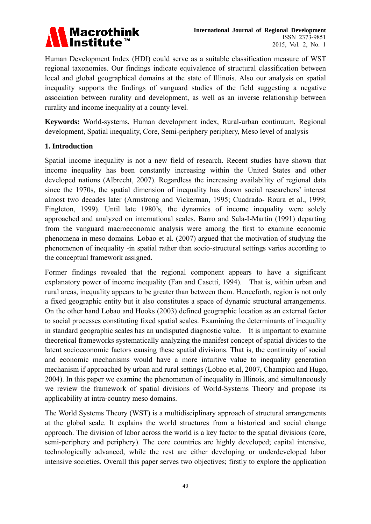

Human Development Index (HDI) could serve as a suitable classification measure of WST regional taxonomies. Our findings indicate equivalence of structural classification between local and global geographical domains at the state of Illinois. Also our analysis on spatial inequality supports the findings of vanguard studies of the field suggesting a negative association between rurality and development, as well as an inverse relationship between rurality and income inequality at a county level.

**Keywords:** World-systems, Human development index, Rural-urban continuum, Regional development, Spatial inequality, Core, Semi-periphery periphery, Meso level of analysis

## **1. Introduction**

Spatial income inequality is not a new field of research. Recent studies have shown that income inequality has been constantly increasing within the United States and other developed nations (Albrecht, 2007). Regardless the increasing availability of regional data since the 1970s, the spatial dimension of inequality has drawn social researchers' interest almost two decades later (Armstrong and Vickerman, 1995; Cuadrado- Roura et al., 1999; Fingleton, 1999). Until late 1980's, the dynamics of income inequality were solely approached and analyzed on international scales. Barro and Sala-I-Martin (1991) departing from the vanguard macroeconomic analysis were among the first to examine economic phenomena in meso domains. Lobao et al. (2007) argued that the motivation of studying the phenomenon of inequality -in spatial rather than socio-structural settings varies according to the conceptual framework assigned.

Former findings revealed that the regional component appears to have a significant explanatory power of income inequality (Fan and Casetti, 1994). That is, within urban and rural areas, inequality appears to be greater than between them. Henceforth, region is not only a fixed geographic entity but it also constitutes a space of dynamic structural arrangements. On the other hand Lobao and Hooks (2003) defined geographic location as an external factor to social processes constituting fixed spatial scales. Examining the determinants of inequality in standard geographic scales has an undisputed diagnostic value. It is important to examine theoretical frameworks systematically analyzing the manifest concept of spatial divides to the latent socioeconomic factors causing these spatial divisions. That is, the continuity of social and economic mechanisms would have a more intuitive value to inequality generation mechanism if approached by urban and rural settings (Lobao et.al, 2007, Champion and Hugo, 2004). In this paper we examine the phenomenon of inequality in Illinois, and simultaneously we review the framework of spatial divisions of World-Systems Theory and propose its applicability at intra-country meso domains.

The World Systems Theory (WST) is a multidisciplinary approach of structural arrangements at the global scale. It explains the world structures from a historical and social change approach. The division of labor across the world is a key factor to the spatial divisions (core, semi-periphery and periphery). The core countries are highly developed; capital intensive, technologically advanced, while the rest are either developing or underdeveloped labor intensive societies. Overall this paper serves two objectives; firstly to explore the application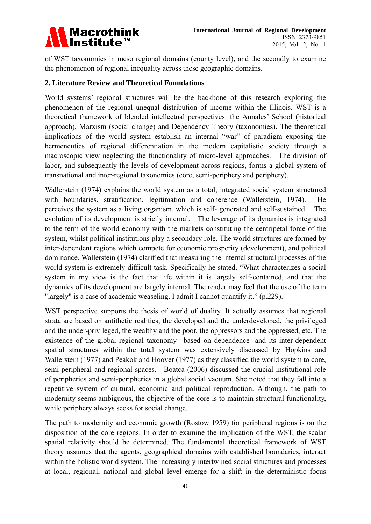

of WST taxonomies in meso regional domains (county level), and the secondly to examine the phenomenon of regional inequality across these geographic domains.

# **2. Literature Review and Theoretical Foundations**

World systems' regional structures will be the backbone of this research exploring the phenomenon of the regional unequal distribution of income within the Illinois. WST is a theoretical framework of blended intellectual perspectives: the Annales' School (historical approach), Marxism (social change) and Dependency Theory (taxonomies). The theoretical implications of the world system establish an internal "war" of paradigm exposing the hermeneutics of regional differentiation in the modern capitalistic society through a macroscopic view neglecting the functionality of micro-level approaches. The division of labor, and subsequently the levels of development across regions, forms a global system of transnational and inter-regional taxonomies (core, semi-periphery and periphery).

Wallerstein (1974) explains the world system as a total, integrated social system structured with boundaries, stratification, legitimation and coherence (Wallerstein, 1974). He perceives the system as a living organism, which is self- generated and self-sustained. The evolution of its development is strictly internal. The leverage of its dynamics is integrated to the term of the world economy with the markets constituting the centripetal force of the system, whilst political institutions play a secondary role. The world structures are formed by inter-dependent regions which compete for economic prosperity (development), and political dominance. Wallerstein (1974) clarified that measuring the internal structural processes of the world system is extremely difficult task. Specifically he stated, "What characterizes a social system in my view is the fact that life within it is largely self-contained, and that the dynamics of its development are largely internal. The reader may feel that the use of the term "largely" is a case of academic weaseling. I admit I cannot quantify it." (p.229).

WST perspective supports the thesis of world of duality. It actually assumes that regional strata are based on antithetic realities; the developed and the underdeveloped, the privileged and the under-privileged, the wealthy and the poor, the oppressors and the oppressed, etc. The existence of the global regional taxonomy –based on dependence- and its inter-dependent spatial structures within the total system was extensively discussed by Hopkins and Wallerstein (1977) and Peakok and Hoover (1977) as they classified the world system to core, semi-peripheral and regional spaces. Boatca (2006) discussed the crucial institutional role of peripheries and semi-peripheries in a global social vacuum. She noted that they fall into a repetitive system of cultural, economic and political reproduction. Although, the path to modernity seems ambiguous, the objective of the core is to maintain structural functionality, while periphery always seeks for social change.

The path to modernity and economic growth (Rostow 1959) for peripheral regions is on the disposition of the core regions. In order to examine the implication of the WST, the scalar spatial relativity should be determined. The fundamental theoretical framework of WST theory assumes that the agents, geographical domains with established boundaries, interact within the holistic world system. The increasingly intertwined social structures and processes at local, regional, national and global level emerge for a shift in the deterministic focus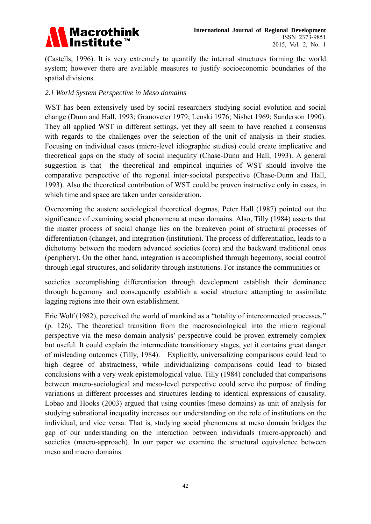

(Castells, 1996). It is very extremely to quantify the internal structures forming the world system; however there are available measures to justify socioeconomic boundaries of the spatial divisions.

# *2.1 World System Perspective in Meso domains*

WST has been extensively used by social researchers studying social evolution and social change (Dunn and Hall, 1993; Granoveter 1979; Lenski 1976; Nisbet 1969; Sanderson 1990). They all applied WST in different settings, yet they all seem to have reached a consensus with regards to the challenges over the selection of the unit of analysis in their studies. Focusing on individual cases (micro-level idiographic studies) could create implicative and theoretical gaps on the study of social inequality (Chase-Dunn and Hall, 1993). A general suggestion is that the theoretical and empirical inquiries of WST should involve the comparative perspective of the regional inter-societal perspective (Chase-Dunn and Hall, 1993). Also the theoretical contribution of WST could be proven instructive only in cases, in which time and space are taken under consideration.

Overcoming the austere sociological theoretical dogmas, Peter Hall (1987) pointed out the significance of examining social phenomena at meso domains. Also, Tilly (1984) asserts that the master process of social change lies on the breakeven point of structural processes of differentiation (change), and integration (institution). The process of differentiation, leads to a dichotomy between the modern advanced societies (core) and the backward traditional ones (periphery). On the other hand, integration is accomplished through hegemony, social control through legal structures, and solidarity through institutions. For instance the communities or

societies accomplishing differentiation through development establish their dominance through hegemony and consequently establish a social structure attempting to assimilate lagging regions into their own establishment.

Eric Wolf (1982), perceived the world of mankind as a "totality of interconnected processes." (p. 126). The theoretical transition from the macrosociological into the micro regional perspective via the meso domain analysis' perspective could be proven extremely complex but useful. It could explain the intermediate transitionary stages, yet it contains great danger of misleading outcomes (Tilly, 1984). Explicitly, universalizing comparisons could lead to high degree of abstractness, while individualizing comparisons could lead to biased conclusions with a very weak epistemological value. Tilly (1984) concluded that comparisons between macro-sociological and meso-level perspective could serve the purpose of finding variations in different processes and structures leading to identical expressions of causality. Lobao and Hooks (2003) argued that using counties (meso domains) as unit of analysis for studying subnational inequality increases our understanding on the role of institutions on the individual, and vice versa. That is, studying social phenomena at meso domain bridges the gap of our understanding on the interaction between individuals (micro-approach) and societies (macro-approach). In our paper we examine the structural equivalence between meso and macro domains.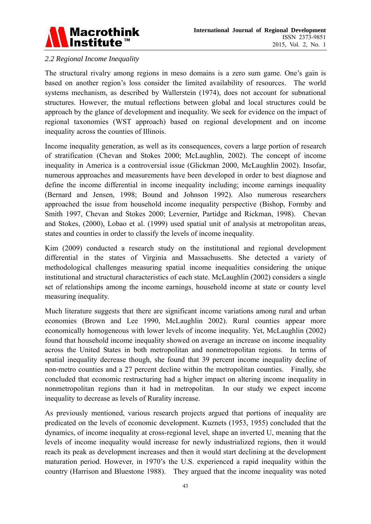

# *2.2 Regional Income Inequality*

The structural rivalry among regions in meso domains is a zero sum game. One's gain is based on another region's loss consider the limited availability of resources. The world systems mechanism, as described by Wallerstein (1974), does not account for subnational structures. However, the mutual reflections between global and local structures could be approach by the glance of development and inequality. We seek for evidence on the impact of regional taxonomies (WST approach) based on regional development and on income inequality across the counties of Illinois.

Income inequality generation, as well as its consequences, covers a large portion of research of stratification (Chevan and Stokes 2000; McLaughlin, 2002). The concept of income inequality in America is a controversial issue (Glickman 2000, McLaughlin 2002). Insofar, numerous approaches and measurements have been developed in order to best diagnose and define the income differential in income inequality including; income earnings inequality (Bernard and Jensen, 1998; Bound and Johnson 1992). Also numerous researchers approached the issue from household income inequality perspective (Bishop, Formby and Smith 1997, Chevan and Stokes 2000; Levernier, Partidge and Rickman, 1998). Chevan and Stokes, (2000), Lobao et al. (1999) used spatial unit of analysis at metropolitan areas, states and counties in order to classify the levels of income inequality.

Kim (2009) conducted a research study on the institutional and regional development differential in the states of Virginia and Massachusetts. She detected a variety of methodological challenges measuring spatial income inequalities considering the unique institutional and structural characteristics of each state. McLaughlin (2002) considers a single set of relationships among the income earnings, household income at state or county level measuring inequality.

Much literature suggests that there are significant income variations among rural and urban economies (Brown and Lee 1990, McLaughlin 2002). Rural counties appear more economically homogeneous with lower levels of income inequality. Yet, McLaughlin (2002) found that household income inequality showed on average an increase on income inequality across the United States in both metropolitan and nonmetropolitan regions. In terms of spatial inequality decrease though, she found that 39 percent income inequality decline of non-metro counties and a 27 percent decline within the metropolitan counties. Finally, she concluded that economic restructuring had a higher impact on altering income inequality in nonmetropolitan regions than it had in metropolitan. In our study we expect income inequality to decrease as levels of Rurality increase.

As previously mentioned, various research projects argued that portions of inequality are predicated on the levels of economic development. Kuznets (1953, 1955) concluded that the dynamics, of income inequality at cross-regional level, shape an inverted U, meaning that the levels of income inequality would increase for newly industrialized regions, then it would reach its peak as development increases and then it would start declining at the development maturation period. However, in 1970's the U.S. experienced a rapid inequality within the country (Harrison and Bluestone 1988). They argued that the income inequality was noted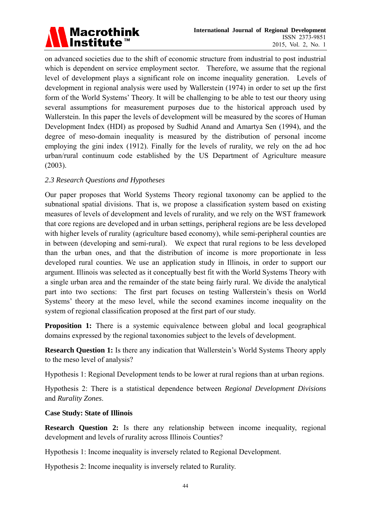

on advanced societies due to the shift of economic structure from industrial to post industrial which is dependent on service employment sector. Therefore, we assume that the regional level of development plays a significant role on income inequality generation. Levels of development in regional analysis were used by Wallerstein (1974) in order to set up the first form of the World Systems' Theory. It will be challenging to be able to test our theory using several assumptions for measurement purposes due to the historical approach used by Wallerstein. In this paper the levels of development will be measured by the scores of Human Development Index (HDI) as proposed by Sudhid Anand and Amartya Sen (1994), and the degree of meso-domain inequality is measured by the distribution of personal income employing the gini index (1912). Finally for the levels of rurality, we rely on the ad hoc urban/rural continuum code established by the US Department of Agriculture measure (2003).

# *2.3 Research Questions and Hypotheses*

Our paper proposes that World Systems Theory regional taxonomy can be applied to the subnational spatial divisions. That is, we propose a classification system based on existing measures of levels of development and levels of rurality, and we rely on the WST framework that core regions are developed and in urban settings, peripheral regions are be less developed with higher levels of rurality (agriculture based economy), while semi-peripheral counties are in between (developing and semi-rural). We expect that rural regions to be less developed than the urban ones, and that the distribution of income is more proportionate in less developed rural counties. We use an application study in Illinois, in order to support our argument. Illinois was selected as it conceptually best fit with the World Systems Theory with a single urban area and the remainder of the state being fairly rural. We divide the analytical part into two sections: The first part focuses on testing Wallerstein's thesis on World Systems' theory at the meso level, while the second examines income inequality on the system of regional classification proposed at the first part of our study.

**Proposition 1:** There is a systemic equivalence between global and local geographical domains expressed by the regional taxonomies subject to the levels of development.

**Research Question 1:** Is there any indication that Wallerstein's World Systems Theory apply to the meso level of analysis?

Hypothesis 1: Regional Development tends to be lower at rural regions than at urban regions.

Hypothesis 2: There is a statistical dependence between *Regional Development Divisions*  and *Rurality Zones*.

#### **Case Study: State of Illinois**

**Research Question 2:** Is there any relationship between income inequality, regional development and levels of rurality across Illinois Counties?

Hypothesis 1: Income inequality is inversely related to Regional Development.

Hypothesis 2: Income inequality is inversely related to Rurality.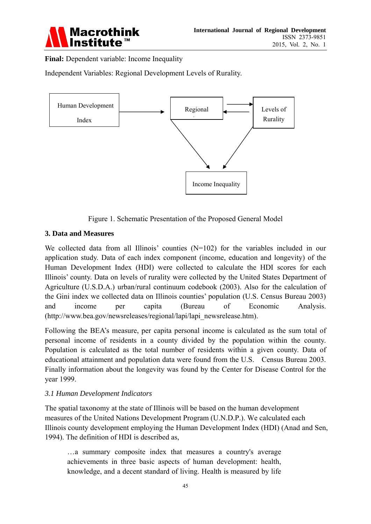

**Final:** Dependent variable: Income Inequality

Independent Variables: Regional Development Levels of Rurality.



Figure 1. Schematic Presentation of the Proposed General Model

# **3. Data and Measures**

We collected data from all Illinois' counties (N=102) for the variables included in our application study. Data of each index component (income, education and longevity) of the Human Development Index (HDI) were collected to calculate the HDI scores for each Illinois' county. Data on levels of rurality were collected by the United States Department of Agriculture (U.S.D.A.) urban/rural continuum codebook (2003). Also for the calculation of the Gini index we collected data on Illinois counties' population (U.S. Census Bureau 2003) and income per capita (Bureau of Economic Analysis. (http://www.bea.gov/newsreleases/regional/lapi/lapi\_newsrelease.htm).

Following the BEA's measure, per capita personal income is calculated as the sum total of personal income of residents in a county divided by the population within the county. Population is calculated as the total number of residents within a given county. Data of educational attainment and population data were found from the U.S. Census Bureau 2003. Finally information about the longevity was found by the Center for Disease Control for the year 1999.

# *3.1 Human Development Indicators*

The spatial taxonomy at the state of Illinois will be based on the human development measures of the United Nations Development Program (U.N.D.P.). We calculated each Illinois county development employing the Human Development Index (HDI) (Anad and Sen, 1994). The definition of HDI is described as,

…a summary composite index that measures a country's average achievements in three basic aspects of human development: health, knowledge, and a decent standard of living. Health is measured by life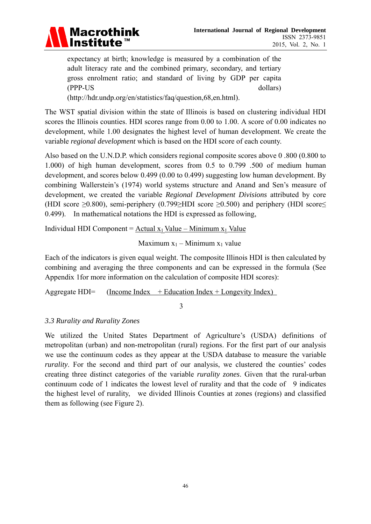

expectancy at birth; knowledge is measured by a combination of the adult literacy rate and the combined primary, secondary, and tertiary gross enrolment ratio; and standard of living by GDP per capita (PPP-US dollars)

(http://hdr.undp.org/en/statistics/faq/question,68,en.html).

The WST spatial division within the state of Illinois is based on clustering individual HDI scores the Illinois counties. HDI scores range from 0.00 to 1.00. A score of 0.00 indicates no development, while 1.00 designates the highest level of human development. We create the variable *regional development* which is based on the HDI score of each county.

Also based on the U.N.D.P. which considers regional composite scores above 0 .800 (0.800 to 1.000) of high human development, scores from 0.5 to 0.799 .500 of medium human development, and scores below 0.499 (0.00 to 0.499) suggesting low human development. By combining Wallerstein's (1974) world systems structure and Anand and Sen's measure of development, we created the variable *Regional Development Divisions* attributed by core (HDI score  $\geq$ 0.800), semi-periphery (0.799 $\geq$ HDI score  $\geq$ 0.500) and periphery (HDI score $\leq$ 0.499). In mathematical notations the HDI is expressed as following,

Individual HDI Component = Actual  $x_1$  Value – Minimum  $x_1$  Value

Maximum  $x_1$  – Minimum  $x_1$  value

Each of the indicators is given equal weight. The composite Illinois HDI is then calculated by combining and averaging the three components and can be expressed in the formula (See Appendix 1for more information on the calculation of composite HDI scores):

Aggregate  $HDI =$  (Income Index + Education Index + Longevity Index)

3

# *3.3 Rurality and Rurality Zones*

We utilized the United States Department of Agriculture's (USDA) definitions of metropolitan (urban) and non-metropolitan (rural) regions. For the first part of our analysis we use the continuum codes as they appear at the USDA database to measure the variable *rurality*. For the second and third part of our analysis, we clustered the counties' codes creating three distinct categories of the variable *rurality zones*. Given that the rural-urban continuum code of 1 indicates the lowest level of rurality and that the code of 9 indicates the highest level of rurality, we divided Illinois Counties at zones (regions) and classified them as following (see Figure 2).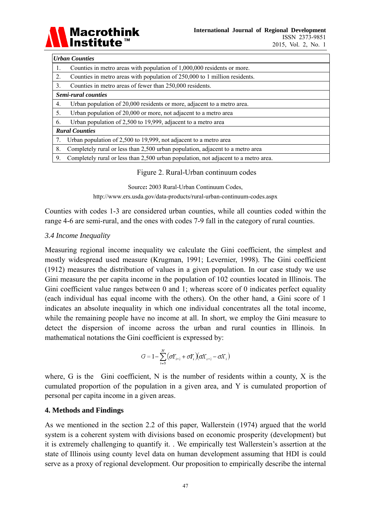

|    | <b>Urban Counties</b>                                                               |
|----|-------------------------------------------------------------------------------------|
| 1. | Counties in metro areas with population of 1,000,000 residents or more.             |
| 2. | Counties in metro areas with population of 250,000 to 1 million residents.          |
| 3. | Counties in metro areas of fewer than 250,000 residents.                            |
|    | <b>Semi-rural counties</b>                                                          |
| 4. | Urban population of 20,000 residents or more, adjacent to a metro area.             |
| 5. | Urban population of 20,000 or more, not adjacent to a metro area                    |
| 6. | Urban population of 2,500 to 19,999, adjacent to a metro area                       |
|    | <b>Rural Counties</b>                                                               |
| 7. | Urban population of 2,500 to 19,999, not adjacent to a metro area                   |
| 8. | Completely rural or less than 2,500 urban population, adjacent to a metro area      |
| 9. | Completely rural or less than 2,500 urban population, not adjacent to a metro area. |

#### Figure 2. Rural-Urban continuum codes

Source**:** 2003 Rural-Urban Continuum Codes,

http://www.ers.usda.gov/data-products/rural-urban-continuum-codes.aspx

Counties with codes 1-3 are considered urban counties, while all counties coded within the range 4-6 are semi-rural, and the ones with codes 7-9 fall in the category of rural counties.

#### *3.4 Income Inequality*

Measuring regional income inequality we calculate the Gini coefficient, the simplest and mostly widespread used measure (Krugman, 1991; Levernier, 1998). The Gini coefficient (1912) measures the distribution of values in a given population. In our case study we use Gini measure the per capita income in the population of 102 counties located in Illinois. The Gini coefficient value ranges between 0 and 1; whereas score of 0 indicates perfect equality (each individual has equal income with the others). On the other hand, a Gini score of 1 indicates an absolute inequality in which one individual concentrates all the total income, while the remaining people have no income at all. In short, we employ the Gini measure to detect the dispersion of income across the urban and rural counties in Illinois. In mathematical notations the Gini coefficient is expressed by:

$$
G = 1 - \sum_{i=0}^{N} (\sigma Y_{i-1} + \sigma Y_i)(\sigma X_{i-1} - \sigma X_i)
$$

where, G is the Gini coefficient, N is the number of residents within a county, X is the cumulated proportion of the population in a given area, and Y is cumulated proportion of personal per capita income in a given areas.

#### **4. Methods and Findings**

As we mentioned in the section 2.2 of this paper, Wallerstein (1974) argued that the world system is a coherent system with divisions based on economic prosperity (development) but it is extremely challenging to quantify it. . We empirically test Wallerstein's assertion at the state of Illinois using county level data on human development assuming that HDI is could serve as a proxy of regional development. Our proposition to empirically describe the internal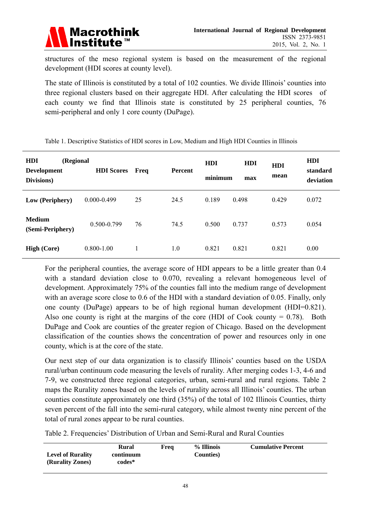

structures of the meso regional system is based on the measurement of the regional development (HDI scores at county level).

The state of Illinois is constituted by a total of 102 counties. We divide Illinois' counties into three regional clusters based on their aggregate HDI. After calculating the HDI scores of each county we find that Illinois state is constituted by 25 peripheral counties, 76 semi-peripheral and only 1 core county (DuPage).

| HDI<br>(Regional<br><b>Development</b><br>Divisions) | <b>HDI</b> Scores | Freq | <b>Percent</b> | HDI<br>minimum | <b>HDI</b><br>max | <b>HDI</b><br>mean | HDI<br>standard<br>deviation |
|------------------------------------------------------|-------------------|------|----------------|----------------|-------------------|--------------------|------------------------------|
| Low (Periphery)                                      | $0.000 - 0.499$   | 25   | 24.5           | 0.189          | 0.498             | 0.429              | 0.072                        |
| <b>Medium</b><br>(Semi-Periphery)                    | 0.500-0.799       | 76   | 74.5           | 0.500          | 0.737             | 0.573              | 0.054                        |
| <b>High (Core)</b>                                   | $0.800 - 1.00$    |      | 1.0            | 0.821          | 0.821             | 0.821              | 0.00                         |

Table 1. Descriptive Statistics of HDI scores in Low, Medium and High HDI Counties in Illinois

For the peripheral counties, the average score of HDI appears to be a little greater than 0.4 with a standard deviation close to 0.070, revealing a relevant homogeneous level of development. Approximately 75% of the counties fall into the medium range of development with an average score close to 0.6 of the HDI with a standard deviation of 0.05. Finally, only one county (DuPage) appears to be of high regional human development (HDI=0.821). Also one county is right at the margins of the core (HDI of Cook county  $= 0.78$ ). Both DuPage and Cook are counties of the greater region of Chicago. Based on the development classification of the counties shows the concentration of power and resources only in one county, which is at the core of the state.

Our next step of our data organization is to classify Illinois' counties based on the USDA rural/urban continuum code measuring the levels of rurality. After merging codes 1-3, 4-6 and 7-9, we constructed three regional categories, urban, semi-rural and rural regions. Table 2 maps the Rurality zones based on the levels of rurality across all Illinois' counties. The urban counties constitute approximately one third (35%) of the total of 102 Illinois Counties, thirty seven percent of the fall into the semi-rural category, while almost twenty nine percent of the total of rural zones appear to be rural counties.

Table 2. Frequencies' Distribution of Urban and Semi-Rural and Rural Counties

| <b>Level of Rurality</b> | Rural<br>continuum | Freq | % Illinois        | <b>Cumulative Percent</b> |
|--------------------------|--------------------|------|-------------------|---------------------------|
| (Rurality Zones)         | codes*             |      | <b>Counties</b> ) |                           |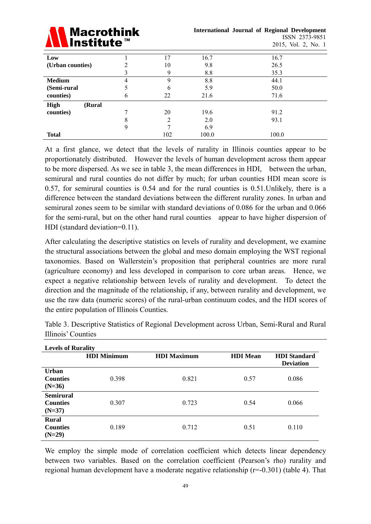

| Low              |        | 17  | 16.7  | 16.7  |
|------------------|--------|-----|-------|-------|
| (Urban counties) |        | 10  | 9.8   | 26.5  |
|                  |        | 9   | 8.8   | 35.3  |
| <b>Medium</b>    | 4      | Q   | 8.8   | 44.1  |
| (Semi-rural      |        | h   | 5.9   | 50.0  |
| counties)        | 6      | 22  | 21.6  | 71.6  |
| <b>High</b>      | (Rural |     |       |       |
| counties)        |        | 20  | 19.6  | 91.2  |
|                  | 8      | 2   | 2.0   | 93.1  |
|                  | 9      |     | 6.9   |       |
| <b>Total</b>     |        | 102 | 100.0 | 100.0 |

At a first glance, we detect that the levels of rurality in Illinois counties appear to be proportionately distributed. However the levels of human development across them appear to be more dispersed. As we see in table 3, the mean differences in HDI, between the urban, semirural and rural counties do not differ by much; for urban counties HDI mean score is 0.57, for semirural counties is 0.54 and for the rural counties is 0.51.Unlikely, there is a difference between the standard deviations between the different rurality zones. In urban and semirural zones seem to be similar with standard deviations of 0.086 for the urban and 0.066 for the semi-rural, but on the other hand rural counties appear to have higher dispersion of HDI (standard deviation=0.11).

After calculating the descriptive statistics on levels of rurality and development, we examine the structural associations between the global and meso domain employing the WST regional taxonomies. Based on Wallerstein's proposition that peripheral countries are more rural (agriculture economy) and less developed in comparison to core urban areas. Hence, we expect a negative relationship between levels of rurality and development. To detect the direction and the magnitude of the relationship, if any, between rurality and development, we use the raw data (numeric scores) of the rural-urban continuum codes, and the HDI scores of the entire population of Illinois Counties.

| <b>Levels of Rurality</b>                       |                    |                    |                 |                                         |  |  |
|-------------------------------------------------|--------------------|--------------------|-----------------|-----------------------------------------|--|--|
|                                                 | <b>HDI</b> Minimum | <b>HDI</b> Maximum | <b>HDI</b> Mean | <b>HDI</b> Standard<br><b>Deviation</b> |  |  |
| <b>Urban</b><br><b>Counties</b><br>$(N=36)$     | 0.398              | 0.821              | 0.57            | 0.086                                   |  |  |
| <b>Semirural</b><br><b>Counties</b><br>$(N=37)$ | 0.307              | 0.723              | 0.54            | 0.066                                   |  |  |
| <b>Rural</b><br><b>Counties</b><br>$(N=29)$     | 0.189              | 0.712              | 0.51            | 0.110                                   |  |  |

Table 3. Descriptive Statistics of Regional Development across Urban, Semi-Rural and Rural Illinois' Counties

We employ the simple mode of correlation coefficient which detects linear dependency between two variables. Based on the correlation coefficient (Pearson's rho) rurality and regional human development have a moderate negative relationship (r=-0.301) (table 4). That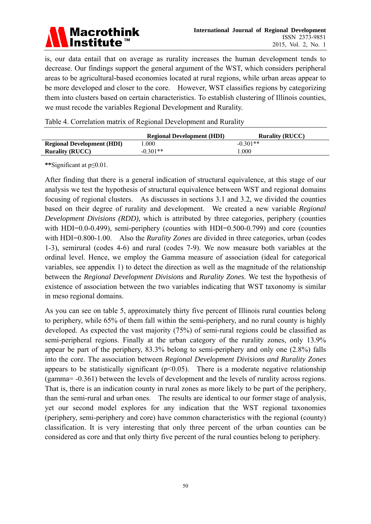

is, our data entail that on average as rurality increases the human development tends to decrease. Our findings support the general argument of the WST, which considers peripheral areas to be agricultural-based economies located at rural regions, while urban areas appear to be more developed and closer to the core. However, WST classifies regions by categorizing them into clusters based on certain characteristics. To establish clustering of Illinois counties, we must recode the variables Regional Development and Rurality.

Table 4. Correlation matrix of Regional Development and Rurality

|                                   | <b>Regional Development (HDI)</b> | <b>Rurality (RUCC)</b> |
|-----------------------------------|-----------------------------------|------------------------|
| <b>Regional Development (HDI)</b> | .000                              | $-0.301**$             |
| <b>Rurality (RUCC)</b>            | $-0.301**$                        | .000                   |

**\*\***Significant at p≤0.01.

After finding that there is a general indication of structural equivalence, at this stage of our analysis we test the hypothesis of structural equivalence between WST and regional domains focusing of regional clusters. As discusses in sections 3.1 and 3.2, we divided the counties based on their degree of rurality and development. We created a new variable *Regional Development Divisions (RDD),* which is attributed by three categories, periphery (counties with HDI=0.0-0.499), semi-periphery (counties with HDI=0.500-0.799) and core (counties with HDI=0.800-1.00. Also the *Rurality Zones* are divided in three categories, urban (codes 1-3), semirural (codes 4-6) and rural (codes 7-9). We now measure both variables at the ordinal level. Hence, we employ the Gamma measure of association (ideal for categorical variables, see appendix 1) to detect the direction as well as the magnitude of the relationship between the *Regional Development Divisions* and *Rurality Zones*. We test the hypothesis of existence of association between the two variables indicating that WST taxonomy is similar in meso regional domains.

As you can see on table 5, approximately thirty five percent of Illinois rural counties belong to periphery, while 65% of them fall within the semi-periphery, and no rural county is highly developed. As expected the vast majority (75%) of semi-rural regions could be classified as semi-peripheral regions. Finally at the urban category of the rurality zones, only 13.9% appear be part of the periphery, 83.3% belong to semi-periphery and only one (2.8%) falls into the core. The association between *Regional Development Divisions and Rurality Zones* appears to be statistically significant  $(p<0.05)$ . There is a moderate negative relationship (gamma= -0.361) between the levels of development and the levels of rurality across regions. That is, there is an indication county in rural zones as more likely to be part of the periphery, than the semi-rural and urban ones. The results are identical to our former stage of analysis, yet our second model explores for any indication that the WST regional taxonomies (periphery, semi-periphery and core) have common characteristics with the regional (county) classification. It is very interesting that only three percent of the urban counties can be considered as core and that only thirty five percent of the rural counties belong to periphery.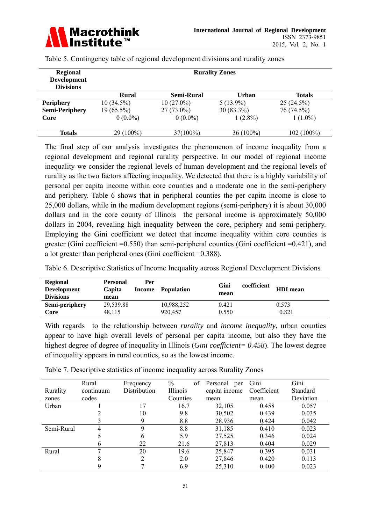

| Regional<br><b>Development</b><br><b>Divisions</b> | <b>Rurality Zones</b> |                   |              |               |  |
|----------------------------------------------------|-----------------------|-------------------|--------------|---------------|--|
|                                                    | <b>Rural</b>          | <b>Semi-Rural</b> | Urban        | <b>Totals</b> |  |
| <b>Periphery</b>                                   | $10(34.5\%)$          | $10(27.0\%)$      | $5(13.9\%)$  | 25(24.5%)     |  |
| <b>Semi-Periphery</b>                              | $19(65.5\%)$          | $27(73.0\%)$      | $30(83.3\%)$ | 76 (74.5%)    |  |
| Core                                               | $0(0.0\%)$            | $0(0.0\%)$        | $1(2.8\%)$   | $1(1.0\%)$    |  |
| <b>Totals</b>                                      | 29 (100%)             | 37(100%)          | 36 (100%)    | 102 (100%)    |  |

Table 5. Contingency table of regional development divisions and rurality zones

The final step of our analysis investigates the phenomenon of income inequality from a regional development and regional rurality perspective. In our model of regional income inequality we consider the regional levels of human development and the regional levels of rurality as the two factors affecting inequality. We detected that there is a highly variability of personal per capita income within core counties and a moderate one in the semi-periphery and periphery. Table 6 shows that in peripheral counties the per capita income is close to 25,000 dollars, while in the medium development regions (semi-periphery) it is about 30,000 dollars and in the core county of Illinois the personal income is approximately 50,000 dollars in 2004, revealing high inequality between the core, periphery and semi-periphery. Employing the Gini coefficient we detect that income inequality within core counties is greater (Gini coefficient =0.550) than semi-peripheral counties (Gini coefficient =0.421), and a lot greater than peripheral ones (Gini coefficient =0.388).

| <b>Regional</b><br><b>Development</b><br><b>Divisions</b> | <b>Personal</b><br>Capita<br>mean | Per<br>Income | <b>Population</b> | Gini<br>mean | coefficient | <b>HDI</b> mean |  |
|-----------------------------------------------------------|-----------------------------------|---------------|-------------------|--------------|-------------|-----------------|--|
| Semi-periphery                                            | 29,539.88                         |               | 10,988,252        | 0.421        |             | 0.573           |  |
| Core                                                      | 48.115                            |               | 920.457           | 0.550        |             | 0.821           |  |

Table 6. Descriptive Statistics of Income Inequality across Regional Development Divisions

With regards to the relationship between *rurality* and *income inequality*, urban counties appear to have high overall levels of personal per capita income, but also they have the highest degree of degree of inequality in Illinois (*Gini coefficient= 0.458*). The lowest degree of inequality appears in rural counties, so as the lowest income.

|            | Rural     | Frequency      | $\%$<br>of | Personal<br>per | Gini        | Gini      |
|------------|-----------|----------------|------------|-----------------|-------------|-----------|
| Rurality   | continuum | Distribution   | Illinois   | capita income   | Coefficient | Standard  |
| zones      | codes     |                | Counties   | mean            | mean        | Deviation |
| Urban      |           | 17             | 16.7       | 32,105          | 0.458       | 0.057     |
|            |           | 10             | 9.8        | 30,502          | 0.439       | 0.035     |
|            |           | 9              | 8.8        | 28.936          | 0.424       | 0.042     |
| Semi-Rural | 4         | 9              | 8.8        | 31,185          | 0.410       | 0.023     |
|            |           | 6              | 5.9        | 27,525          | 0.346       | 0.024     |
|            | b         | 22             | 21.6       | 27,813          | 0.404       | 0.029     |
| Rural      |           | 20             | 19.6       | 25,847          | 0.395       | 0.031     |
|            | 8         | $\overline{2}$ | 2.0        | 27,846          | 0.420       | 0.113     |
|            |           |                | 6.9        | 25,310          | 0.400       | 0.023     |

Table 7. Descriptive statistics of income inequality across Rurality Zones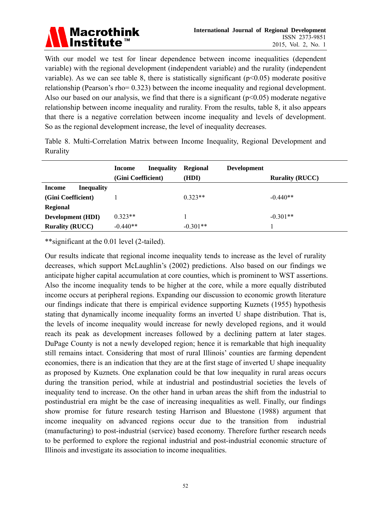

With our model we test for linear dependence between income inequalities (dependent variable) with the regional development (independent variable) and the rurality (independent variable). As we can see table 8, there is statistically significant  $(p<0.05)$  moderate positive relationship (Pearson's rho= 0.323) between the income inequality and regional development. Also our based on our analysis, we find that there is a significant  $(p<0.05)$  moderate negative relationship between income inequality and rurality. From the results, table 8, it also appears that there is a negative correlation between income inequality and levels of development. So as the regional development increase, the level of inequality decreases.

Table 8. Multi-Correlation Matrix between Income Inequality, Regional Development and Rurality

|                             | Income             | Inequality | Regional   | <b>Development</b> |                        |
|-----------------------------|--------------------|------------|------------|--------------------|------------------------|
|                             | (Gini Coefficient) |            | (HDI)      |                    | <b>Rurality (RUCC)</b> |
| Inequality<br><b>Income</b> |                    |            |            |                    |                        |
| (Gini Coefficient)          |                    |            | $0.323**$  |                    | $-0.440**$             |
| <b>Regional</b>             |                    |            |            |                    |                        |
| <b>Development</b> (HDI)    | $0.323**$          |            |            |                    | $-0.301**$             |
| <b>Rurality (RUCC)</b>      | $-0.440**$         |            | $-0.301**$ |                    |                        |

\*\*significant at the 0.01 level (2-tailed).

Our results indicate that regional income inequality tends to increase as the level of rurality decreases, which support McLaughlin's (2002) predictions. Also based on our findings we anticipate higher capital accumulation at core counties, which is prominent to WST assertions. Also the income inequality tends to be higher at the core, while a more equally distributed income occurs at peripheral regions. Expanding our discussion to economic growth literature our findings indicate that there is empirical evidence supporting Kuznets (1955) hypothesis stating that dynamically income inequality forms an inverted U shape distribution. That is, the levels of income inequality would increase for newly developed regions, and it would reach its peak as development increases followed by a declining pattern at later stages. DuPage County is not a newly developed region; hence it is remarkable that high inequality still remains intact. Considering that most of rural Illinois' counties are farming dependent economies, there is an indication that they are at the first stage of inverted U shape inequality as proposed by Kuznets. One explanation could be that low inequality in rural areas occurs during the transition period, while at industrial and postindustrial societies the levels of inequality tend to increase. On the other hand in urban areas the shift from the industrial to postindustrial era might be the case of increasing inequalities as well. Finally, our findings show promise for future research testing Harrison and Bluestone (1988) argument that income inequality on advanced regions occur due to the transition from industrial (manufacturing) to post-industrial (service) based economy. Therefore further research needs to be performed to explore the regional industrial and post-industrial economic structure of Illinois and investigate its association to income inequalities.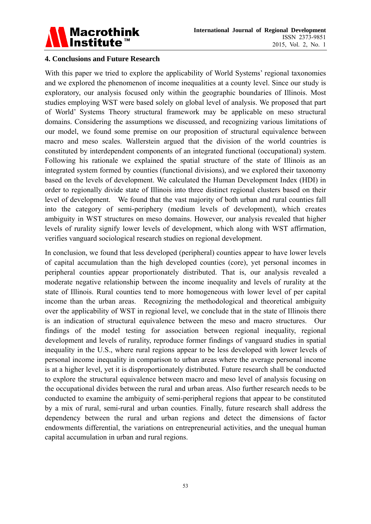

# **4. Conclusions and Future Research**

With this paper we tried to explore the applicability of World Systems' regional taxonomies and we explored the phenomenon of income inequalities at a county level. Since our study is exploratory, our analysis focused only within the geographic boundaries of Illinois. Most studies employing WST were based solely on global level of analysis. We proposed that part of World' Systems Theory structural framework may be applicable on meso structural domains. Considering the assumptions we discussed, and recognizing various limitations of our model, we found some premise on our proposition of structural equivalence between macro and meso scales. Wallerstein argued that the division of the world countries is constituted by interdependent components of an integrated functional (occupational) system. Following his rationale we explained the spatial structure of the state of Illinois as an integrated system formed by counties (functional divisions), and we explored their taxonomy based on the levels of development. We calculated the Human Development Index (HDI) in order to regionally divide state of Illinois into three distinct regional clusters based on their level of development. We found that the vast majority of both urban and rural counties fall into the category of semi-periphery (medium levels of development), which creates ambiguity in WST structures on meso domains. However, our analysis revealed that higher levels of rurality signify lower levels of development, which along with WST affirmation, verifies vanguard sociological research studies on regional development.

In conclusion, we found that less developed (peripheral) counties appear to have lower levels of capital accumulation than the high developed counties (core), yet personal incomes in peripheral counties appear proportionately distributed. That is, our analysis revealed a moderate negative relationship between the income inequality and levels of rurality at the state of Illinois. Rural counties tend to more homogeneous with lower level of per capital income than the urban areas. Recognizing the methodological and theoretical ambiguity over the applicability of WST in regional level, we conclude that in the state of Illinois there is an indication of structural equivalence between the meso and macro structures. Our findings of the model testing for association between regional inequality, regional development and levels of rurality, reproduce former findings of vanguard studies in spatial inequality in the U.S., where rural regions appear to be less developed with lower levels of personal income inequality in comparison to urban areas where the average personal income is at a higher level, yet it is disproportionately distributed. Future research shall be conducted to explore the structural equivalence between macro and meso level of analysis focusing on the occupational divides between the rural and urban areas. Also further research needs to be conducted to examine the ambiguity of semi-peripheral regions that appear to be constituted by a mix of rural, semi-rural and urban counties. Finally, future research shall address the dependency between the rural and urban regions and detect the dimensions of factor endowments differential, the variations on entrepreneurial activities, and the unequal human capital accumulation in urban and rural regions.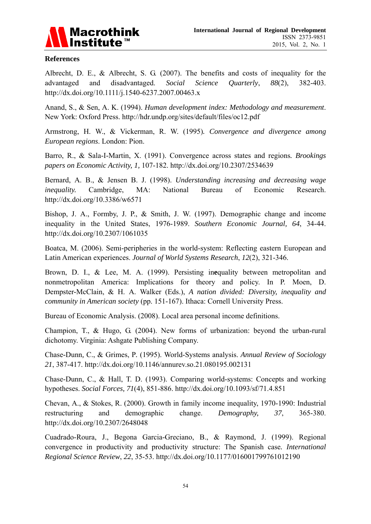

# **References**

Albrecht, D. E., & Albrecht, S. G. (2007). The benefits and costs of inequality for the advantaged and disadvantaged. *Social Science Quarterly*, *88*(2), 382-403. http://dx.doi.org/10.1111/j.1540-6237.2007.00463.x

Anand, S., & Sen, A. K. (1994). *Human development index: Methodology and measurement*. New York: Oxford Press. http://hdr.undp.org/sites/default/files/oc12.pdf

Armstrong, H. W., & Vickerman, R. W. (1995)*. Convergence and divergence among European regions*. London: Pion.

Barro, R., & Sala-I-Martin, X. (1991). Convergence across states and regions*. Brookings papers on Economic Activity, 1,* 107-182. http://dx.doi.org/10.2307/2534639

Bernard, A. B., & Jensen B. J. (1998). *Understanding increasing and decreasing wage inequality.* Cambridge, MA: National Bureau of Economic Research. http://dx.doi.org/10.3386/w6571

Bishop, J. A., Formby, J. P., & Smith, J. W. (1997). Demographic change and income inequality in the United States, 1976-1989. *Southern Economic Journal, 64*, 34-44. http://dx.doi.org/10.2307/1061035

Boatca, M. (2006). Semi-peripheries in the world-system: Reflecting eastern European and Latin American experiences. *Journal of World Systems Research*, *12*(2), 321-346.

Brown, D. I., & Lee, M. A. (1999). Persisting in**e**quality between metropolitan and nonmetropolitan America: Implications for theory and policy. In P. Moen, D. Dempster-McClain, & H. A. Walker (Eds.), *A nation divided: Diversity, inequality and community in American society* (pp. 151-167). Ithaca: Cornell University Press.

Bureau of Economic Analysis. (2008). Local area personal income definitions.

Champion, T., & Hugo, G. (2004). New forms of urbanization: beyond the urban-rural dichotomy. Virginia: Ashgate Publishing Company.

Chase*-*Dunn*,* C., & Grimes, P*.* (1995). World-Systems analysis. *Annual Review of Sociology 21*, 387-417. http://dx.doi.org/10.1146/annurev.so.21.080195.002131

Chase-Dunn, C., & Hall, T. D. (1993). Comparing world-systems: Concepts and working hypotheses. *Social Forces, 71*(4), 851-886. http://dx.doi.org/10.1093/sf/71.4.851

Chevan, A., & Stokes, R. (2000). Growth in family income inequality, 1970-1990: Industrial restructuring and demographic change. *Demography, 37*, 365-380. http://dx.doi.org/10.2307/2648048

Cuadrado-Roura, J., Begona Garcia-Greciano, B., & Raymond, J. (1999). Regional convergence in productivity and productivity structure: The Spanish case*. International Regional Science Review*, *22*, 35-53. http://dx.doi.org/10.1177/016001799761012190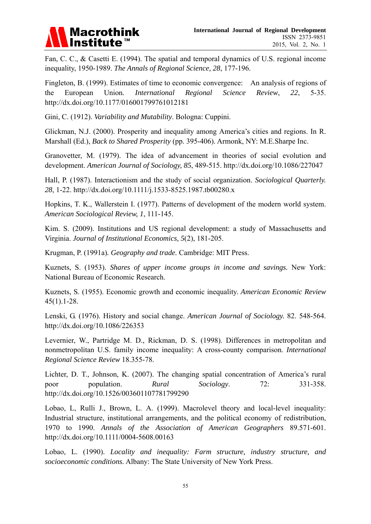

Fan, C. C., & Casetti E. (1994). The spatial and temporal dynamics of U.S. regional income inequality, 1950-1989. *The Annals of Regional Science, 28*, 177-196.

Fingleton, B. (1999). Estimates of time to economic convergence: An analysis of regions of the European Union*. International Regional Science Review*, *22*, 5-35. http://dx.doi.org/10.1177/016001799761012181

Gini, C. (1912). *Variability and Mutability*. Bologna: Cuppini.

Glickman, N.J. (2000). Prosperity and inequality among America's cities and regions. In R. Marshall (Ed.), *Back to Shared Prosperity* (pp. 395-406). Armonk, NY: M.E.Sharpe Inc.

Granovetter, M. (1979). The idea of advancement in theories of social evolution and development. *American Journal of Sociology, 85*, 489-515. http://dx.doi.org/10.1086/227047

Hall, P. (1987). Interactionism and the study of social organization. *Sociological Quarterly. 28*, 1-22. http://dx.doi.org/10.1111/j.1533-8525.1987.tb00280.x

Hopkins, T. K., Wallerstein I. (1977). Patterns of development of the modern world system. *American Sociological Review, 1*, 111-145.

Kim. S. (2009). Institutions and US regional development: a study of Massachusetts and Virginia. *Journal of Institutional Economics, 5*(2), 181-205.

Krugman, P. (1991a)*. Geography and trade.* Cambridge: MIT Press.

Kuznets, S. (1953). *Shares of upper income groups in income and savings.* New York: National Bureau of Economic Research.

Kuznets, S. (1955). Economic growth and economic inequality. *American Economic Review* 45(1).1-28.

Lenski, G. (1976). History and social change. *American Journal of Sociology.* 82. 548-564. http://dx.doi.org/10.1086/226353

Levernier, W., Partridge M. D., Rickman, D. S. (1998). Differences in metropolitan and nonmetropolitan U.S. family income inequality: A cross-county comparison. *International Regional Science Review* 18.355-78.

Lichter, D. T., Johnson, K. (2007). The changing spatial concentration of America's rural poor population. *Rural Sociology*. 72: 331-358. http://dx.doi.org/10.1526/003601107781799290

Lobao, L, Rulli J., Brown, L. A. (1999). Macrolevel theory and local-level inequality: Industrial structure, institutional arrangements, and the political economy of redistribution, 1970 to 1990. *Annals of the Association of American Geographers* 89.571-601. http://dx.doi.org/10.1111/0004-5608.00163

Lobao, L. (1990). *Locality and inequality: Farm structure, industry structure, and socioeconomic conditions.* Albany: The State University of New York Press.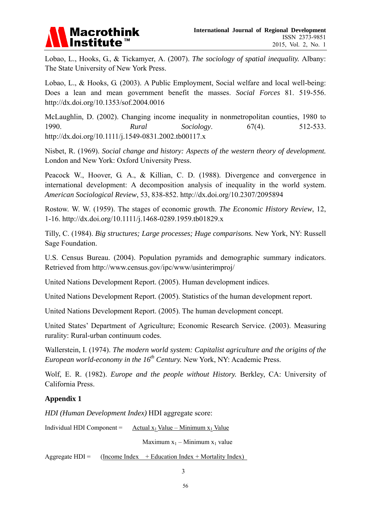

Lobao, L., Hooks, G., & Tickamyer, A. (2007). *The sociology of spatial inequality.* Albany: The State University of New York Press.

Lobao, L., & Hooks, G. (2003). A Public Employment, Social welfare and local well-being: Does a lean and mean government benefit the masses. *Social Forces* 81. 519-556. http://dx.doi.org/10.1353/sof.2004.0016

McLaughlin, D. (2002). Changing income inequality in nonmetropolitan counties, 1980 to 1990. *Rural Sociology*. 67(4). 512-533. http://dx.doi.org/10.1111/j.1549-0831.2002.tb00117.x

Nisbet, R. (1969). *Social change and history: Aspects of the western theory of development.*  London and New York: Oxford University Press.

Peacock W., Hoover, G. A., & Killian, C. D. (1988). Divergence and convergence in international development: A decomposition analysis of inequality in the world system. *American Sociological Review*, 53, 838-852. http://dx.doi.org/10.2307/2095894

Rostow. W. W. (1959). The stages of economic growth. *The Economic History Review*, 12, 1-16. http://dx.doi.org/10.1111/j.1468-0289.1959.tb01829.x

Tilly, C. (1984). *Big structures; Large processes; Huge comparisons.* New York, NY: Russell Sage Foundation.

U.S. Census Bureau. (2004). Population pyramids and demographic summary indicators. Retrieved from http://www.census.gov/ipc/www/usinterimproj/

United Nations Development Report. (2005). Human development indices.

United Nations Development Report. (2005). Statistics of the human development report.

United Nations Development Report. (2005). The human development concept.

United States' Department of Agriculture; Economic Research Service. (2003). Measuring rurality: Rural-urban continuum codes.

Wallerstein, I. (1974). *The modern world system: Capitalist agriculture and the origins of the European world-economy in the 16<sup>th</sup> Century.* New York, NY: Academic Press.

Wolf, E. R. (1982). *Europe and the people without History.* Berkley, CA: University of California Press.

# **Appendix 1**

*HDI (Human Development Index)* HDI aggregate score:

Individual HDI Component = Actual  $x_1$  Value – Minimum  $x_1$  Value

Maximum  $x_1$  – Minimum  $x_1$  value

Aggregate  $HDI =$  (Income Index + Education Index + Mortality Index)